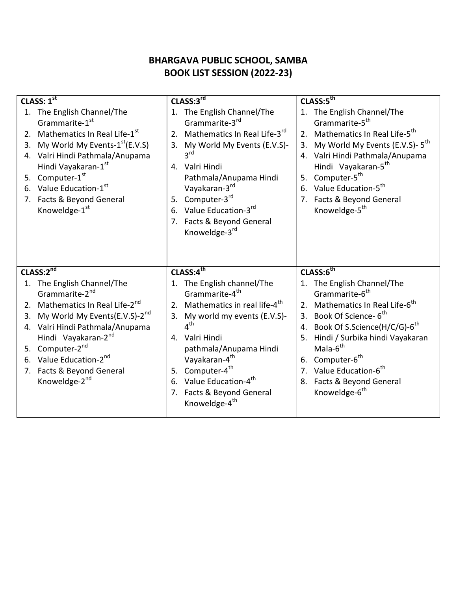## BHARGAVA PUBLIC SCHOOL, SAMBA BOOK LIST SESSION (2022-23)

| CLASS: $1^{\overline{st}}$                                                                                                                                                                                                                                                                                                  | CLASS:3rd                                                                                                                                                                                                                                                                                                                                                | CLASS:5 <sup>th</sup>                                                                                                                                                                                                                                                                                                                                                                         |  |
|-----------------------------------------------------------------------------------------------------------------------------------------------------------------------------------------------------------------------------------------------------------------------------------------------------------------------------|----------------------------------------------------------------------------------------------------------------------------------------------------------------------------------------------------------------------------------------------------------------------------------------------------------------------------------------------------------|-----------------------------------------------------------------------------------------------------------------------------------------------------------------------------------------------------------------------------------------------------------------------------------------------------------------------------------------------------------------------------------------------|--|
| 1. The English Channel/The<br>Grammarite-1st<br>2. Mathematics In Real Life-1st<br>My World My Events-1 <sup>st</sup> (E.V.S)<br>3.<br>4. Valri Hindi Pathmala/Anupama<br>Hindi Vayakaran-1st<br>5. Computer-1st<br>6. Value Education-1st<br>7. Facts & Beyond General<br>Knoweldge-1st                                    | 1. The English Channel/The<br>Grammarite-3rd<br>2. Mathematics In Real Life-3rd<br>3. My World My Events (E.V.S)-<br>3 <sup>rd</sup><br>4. Valri Hindi<br>Pathmala/Anupama Hindi<br>Vayakaran-3rd<br>5. Computer-3rd<br>6. Value Education-3rd<br>7. Facts & Beyond General<br>Knoweldge-3rd                                                             | 1. The English Channel/The<br>Grammarite-5 <sup>th</sup><br>2. Mathematics In Real Life-5 <sup>th</sup><br>My World My Events (E.V.S)- 5 <sup>th</sup><br>3.<br>4. Valri Hindi Pathmala/Anupama<br>Hindi Vayakaran-5 <sup>th</sup><br>5. Computer-5 <sup>th</sup><br>6. Value Education-5 <sup>th</sup><br>7. Facts & Beyond General<br>Knoweldge-5 <sup>th</sup>                             |  |
| CLASS:2nd                                                                                                                                                                                                                                                                                                                   | CLASS:4 <sup>th</sup>                                                                                                                                                                                                                                                                                                                                    | CLASS:6 <sup>th</sup>                                                                                                                                                                                                                                                                                                                                                                         |  |
| 1. The English Channel/The<br>Grammarite-2 <sup>nd</sup><br>2. Mathematics In Real Life-2nd<br>My World My Events(E.V.S)-2 <sup>nd</sup><br>3.<br>4. Valri Hindi Pathmala/Anupama<br>Hindi Vayakaran-2nd<br>5. Computer-2 <sup>nd</sup><br>6. Value Education-2nd<br>7. Facts & Beyond General<br>Knoweldge-2 <sup>nd</sup> | 1. The English channel/The<br>Grammarite-4 <sup>th</sup><br>2. Mathematics in real life-4 <sup>th</sup><br>3. My world my events (E.V.S)-<br>4 <sup>th</sup><br>4. Valri Hindi<br>pathmala/Anupama Hindi<br>Vayakaran-4 <sup>th</sup><br>5. Computer-4 <sup>th</sup><br>6. Value Education-4th<br>7. Facts & Beyond General<br>Knoweldge-4 <sup>th</sup> | 1. The English Channel/The<br>Grammarite-6 <sup>th</sup><br>2. Mathematics In Real Life-6 <sup>th</sup><br>3. Book Of Science- 6 <sup>th</sup><br>4. Book Of S.Science(H/C/G)-6 <sup>th</sup><br>Hindi / Surbika hindi Vayakaran<br>5.<br>Mala-6 <sup>th</sup><br>6. Computer-6 <sup>th</sup><br>7. Value Education-6 <sup>th</sup><br>8. Facts & Beyond General<br>Knoweldge-6 <sup>th</sup> |  |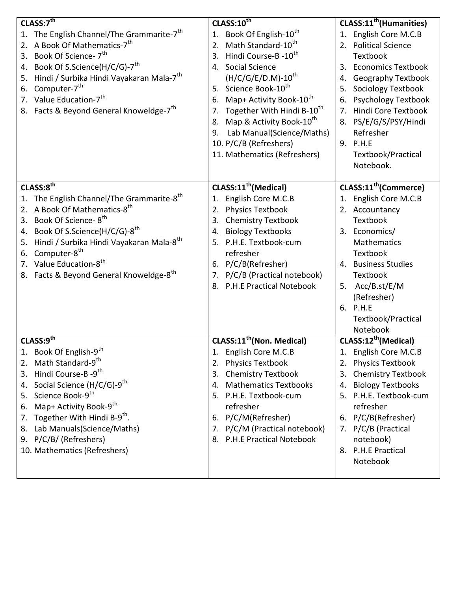| CLASS:7th                                                                                                                                                                                                                                                                                                                                                                                        | CLASS:10 <sup>th</sup>                                                                                                                                                                                                                                                                                                                                                                                                                 | CLASS:11 <sup>th</sup> (Humanities)                                                                                                                                                                                                                                                               |
|--------------------------------------------------------------------------------------------------------------------------------------------------------------------------------------------------------------------------------------------------------------------------------------------------------------------------------------------------------------------------------------------------|----------------------------------------------------------------------------------------------------------------------------------------------------------------------------------------------------------------------------------------------------------------------------------------------------------------------------------------------------------------------------------------------------------------------------------------|---------------------------------------------------------------------------------------------------------------------------------------------------------------------------------------------------------------------------------------------------------------------------------------------------|
| 1. The English Channel/The Grammarite-7 <sup>th</sup><br>A Book Of Mathematics-7 <sup>th</sup><br>2.<br>Book Of Science- 7 <sup>th</sup><br>3.<br>Book Of S.Science(H/C/G)-7 <sup>th</sup><br>4.<br>Hindi / Surbika Hindi Vayakaran Mala-7 <sup>th</sup><br>5.<br>Computer-7 <sup>th</sup><br>6.<br>7. Value Education-7 <sup>th</sup><br>8. Facts & Beyond General Knoweldge-7 <sup>th</sup>    | Book Of English-10 <sup>th</sup><br>1.<br>Math Standard-10 <sup>th</sup><br>2.<br>Hindi Course-B -10 <sup>th</sup><br>3.<br><b>Social Science</b><br>4.<br>$(H/C/G/E/D.M)-10^{th}$<br>5. Science Book-10th<br>Map+ Activity Book-10th<br>6.<br>Together With Hindi B-10 <sup>th</sup><br>7.<br>Map & Activity Book-10 <sup>th</sup><br>8.<br>Lab Manual(Science/Maths)<br>9.<br>10. P/C/B (Refreshers)<br>11. Mathematics (Refreshers) | 1. English Core M.C.B<br>2. Political Science<br>Textbook<br>3. Economics Textbook<br>4. Geography Textbook<br><b>Sociology Textbook</b><br>5.<br><b>Psychology Textbook</b><br>6.<br>7. Hindi Core Textbook<br>8. PS/E/G/S/PSY/Hindi<br>Refresher<br>9. P.H.E<br>Textbook/Practical<br>Notebook. |
| CLASS:8 <sup>th</sup>                                                                                                                                                                                                                                                                                                                                                                            | CLASS:11 <sup>th</sup> (Medical)                                                                                                                                                                                                                                                                                                                                                                                                       | CLASS:11 <sup>th</sup> (Commerce)                                                                                                                                                                                                                                                                 |
| 1. The English Channel/The Grammarite-8 <sup>th</sup><br>A Book Of Mathematics-8 <sup>th</sup><br>2.<br>Book Of Science-8 <sup>th</sup><br>3.<br>Book Of S.Science(H/C/G)-8 <sup>th</sup><br>4.<br>Hindi / Surbika Hindi Vayakaran Mala-8 <sup>th</sup><br>5.<br>Computer-8 <sup>th</sup><br>6.<br>7. Value Education-8 <sup>th</sup><br>8. Facts & Beyond General Knoweldge-8 <sup>th</sup>     | English Core M.C.B<br>1.<br><b>Physics Textbook</b><br>2.<br><b>Chemistry Textbook</b><br>3.<br><b>Biology Textbooks</b><br>4.<br>5. P.H.E. Textbook-cum<br>refresher<br>6. P/C/B(Refresher)<br>P/C/B (Practical notebook)<br>7.<br><b>P.H.E Practical Notebook</b><br>8.                                                                                                                                                              | 1. English Core M.C.B<br>2. Accountancy<br>Textbook<br>3. Economics/<br>Mathematics<br>Textbook<br>4. Business Studies<br>Textbook<br>5. Acc/B.st/E/M<br>(Refresher)<br>6. P.H.E<br>Textbook/Practical<br>Notebook                                                                                |
| CLASS:9 <sup>th</sup>                                                                                                                                                                                                                                                                                                                                                                            | CLASS:11 <sup>th</sup> (Non. Medical)                                                                                                                                                                                                                                                                                                                                                                                                  | CLASS:12 <sup>th</sup> (Medical)                                                                                                                                                                                                                                                                  |
| Book Of English-9 <sup>th</sup><br>Math Standard-9 <sup>th</sup><br>2.<br>Hindi Course-B -9 <sup>th</sup><br>3.<br>Social Science (H/C/G)-9 <sup>th</sup><br>4.<br>Science Book-9 <sup>th</sup><br>5.<br>Map+ Activity Book-9 <sup>th</sup><br>6.<br>Together With Hindi B-9 <sup>th</sup> .<br>7.<br>Lab Manuals(Science/Maths)<br>8.<br>9. P/C/B/ (Refreshers)<br>10. Mathematics (Refreshers) | English Core M.C.B<br><b>Physics Textbook</b><br>2.<br><b>Chemistry Textbook</b><br>3.<br><b>Mathematics Textbooks</b><br>4.<br>P.H.E. Textbook-cum<br>5.<br>refresher<br>P/C/M(Refresher)<br>6.<br>P/C/M (Practical notebook)<br>7.<br>8. P.H.E Practical Notebook                                                                                                                                                                    | 1. English Core M.C.B<br>2. Physics Textbook<br>3. Chemistry Textbook<br>4. Biology Textbooks<br>5. P.H.E. Textbook-cum<br>refresher<br>6. P/C/B(Refresher)<br>7. P/C/B (Practical<br>notebook)<br>8. P.H.E Practical<br>Notebook                                                                 |